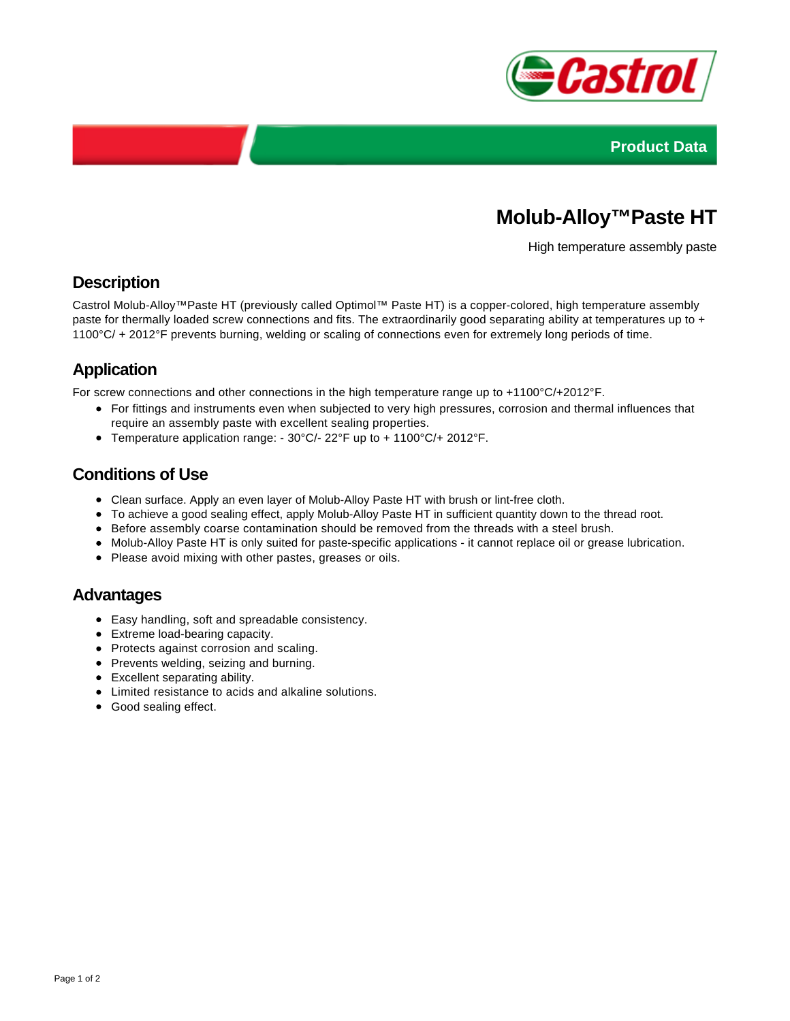



# **Molub-Alloy™Paste HT**

High temperature assembly paste

### **Description**

Castrol Molub-Alloy™Paste HT (previously called Optimol™ Paste HT) is a copper-colored, high temperature assembly paste for thermally loaded screw connections and fits. The extraordinarily good separating ability at temperatures up to + 1100°C/ + 2012°F prevents burning, welding or scaling of connections even for extremely long periods of time.

## **Application**

For screw connections and other connections in the high temperature range up to +1100°C/+2012°F.

- For fittings and instruments even when subjected to very high pressures, corrosion and thermal influences that require an assembly paste with excellent sealing properties.
- Temperature application range: 30°C/- 22°F up to + 1100°C/+ 2012°F.

### **Conditions of Use**

- Clean surface. Apply an even layer of Molub-Alloy Paste HT with brush or lint-free cloth.
- To achieve a good sealing effect, apply Molub-Alloy Paste HT in sufficient quantity down to the thread root.
- Before assembly coarse contamination should be removed from the threads with a steel brush.
- Molub-Alloy Paste HT is only suited for paste-specific applications it cannot replace oil or grease lubrication.
- Please avoid mixing with other pastes, greases or oils.

### **Advantages**

- Easy handling, soft and spreadable consistency.
- Extreme load-bearing capacity.
- Protects against corrosion and scaling.
- Prevents welding, seizing and burning.
- Excellent separating ability.
- Limited resistance to acids and alkaline solutions.
- Good sealing effect.